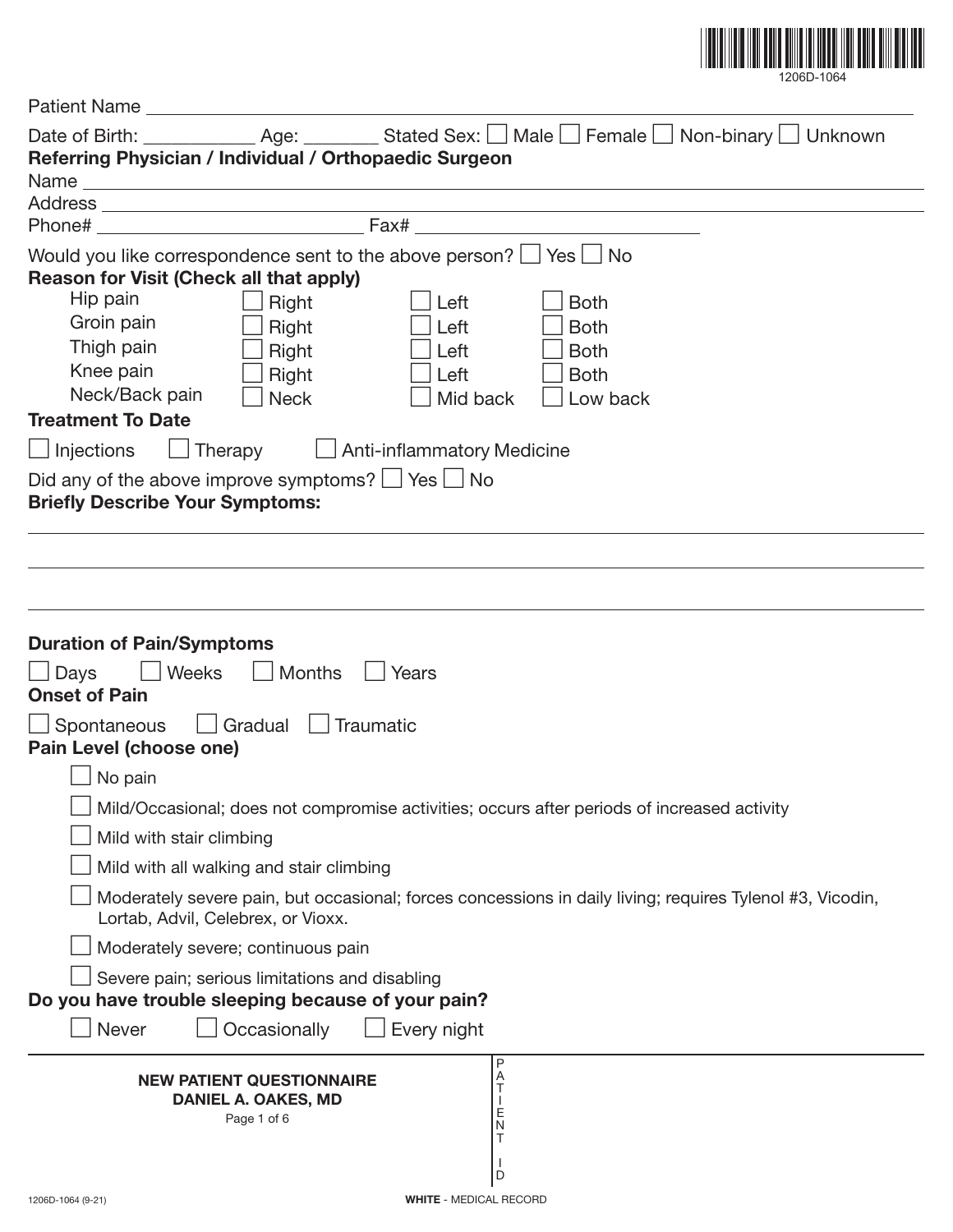

| Date of Birth: ______________ Age: _________ Stated Sex: □ Male □ Female □ Non-binary □ Unknown<br>Referring Physician / Individual / Orthopaedic Surgeon                                                                                                                                                                                                                                                                                                                                                                                                                              |  |  |  |  |  |
|----------------------------------------------------------------------------------------------------------------------------------------------------------------------------------------------------------------------------------------------------------------------------------------------------------------------------------------------------------------------------------------------------------------------------------------------------------------------------------------------------------------------------------------------------------------------------------------|--|--|--|--|--|
|                                                                                                                                                                                                                                                                                                                                                                                                                                                                                                                                                                                        |  |  |  |  |  |
|                                                                                                                                                                                                                                                                                                                                                                                                                                                                                                                                                                                        |  |  |  |  |  |
| Would you like correspondence sent to the above person? $\Box$ Yes $\Box$ No<br><b>Reason for Visit (Check all that apply)</b><br>Hip pain<br>Right<br>Left<br><b>Both</b><br>Groin pain<br>Right<br>Left<br><b>Both</b><br>Thigh pain<br>Right<br>Left<br><b>Both</b><br>Knee pain<br>Right<br>Left<br><b>Both</b><br>Neck/Back pain<br><b>Neck</b><br>Mid back<br>Low back<br><b>Treatment To Date</b><br>$\Box$ Anti-inflammatory Medicine<br><b>Injections</b><br>Therapy<br>Did any of the above improve symptoms? $\Box$ Yes $\Box$ No<br><b>Briefly Describe Your Symptoms:</b> |  |  |  |  |  |
|                                                                                                                                                                                                                                                                                                                                                                                                                                                                                                                                                                                        |  |  |  |  |  |
| <b>Duration of Pain/Symptoms</b><br>Weeks<br><b>Months</b><br>Days<br>Years<br><b>Onset of Pain</b>                                                                                                                                                                                                                                                                                                                                                                                                                                                                                    |  |  |  |  |  |
| Gradual   Traumatic<br>Spontaneous<br>Pain Level (choose one)                                                                                                                                                                                                                                                                                                                                                                                                                                                                                                                          |  |  |  |  |  |
| No pain                                                                                                                                                                                                                                                                                                                                                                                                                                                                                                                                                                                |  |  |  |  |  |
| Mild/Occasional; does not compromise activities; occurs after periods of increased activity                                                                                                                                                                                                                                                                                                                                                                                                                                                                                            |  |  |  |  |  |
| Mild with stair climbing                                                                                                                                                                                                                                                                                                                                                                                                                                                                                                                                                               |  |  |  |  |  |
| Mild with all walking and stair climbing                                                                                                                                                                                                                                                                                                                                                                                                                                                                                                                                               |  |  |  |  |  |
| Moderately severe pain, but occasional; forces concessions in daily living; requires Tylenol #3, Vicodin,<br>Lortab, Advil, Celebrex, or Vioxx.                                                                                                                                                                                                                                                                                                                                                                                                                                        |  |  |  |  |  |
| Moderately severe; continuous pain                                                                                                                                                                                                                                                                                                                                                                                                                                                                                                                                                     |  |  |  |  |  |
| Severe pain; serious limitations and disabling<br>Do you have trouble sleeping because of your pain?                                                                                                                                                                                                                                                                                                                                                                                                                                                                                   |  |  |  |  |  |
| Occasionally<br>Never<br>Every night                                                                                                                                                                                                                                                                                                                                                                                                                                                                                                                                                   |  |  |  |  |  |
| P<br>Α<br><b>NEW PATIENT QUESTIONNAIRE</b><br>Τ<br><b>DANIEL A. OAKES, MD</b><br>$\frac{E}{N}$<br>Page 1 of 6<br>T<br>D                                                                                                                                                                                                                                                                                                                                                                                                                                                                |  |  |  |  |  |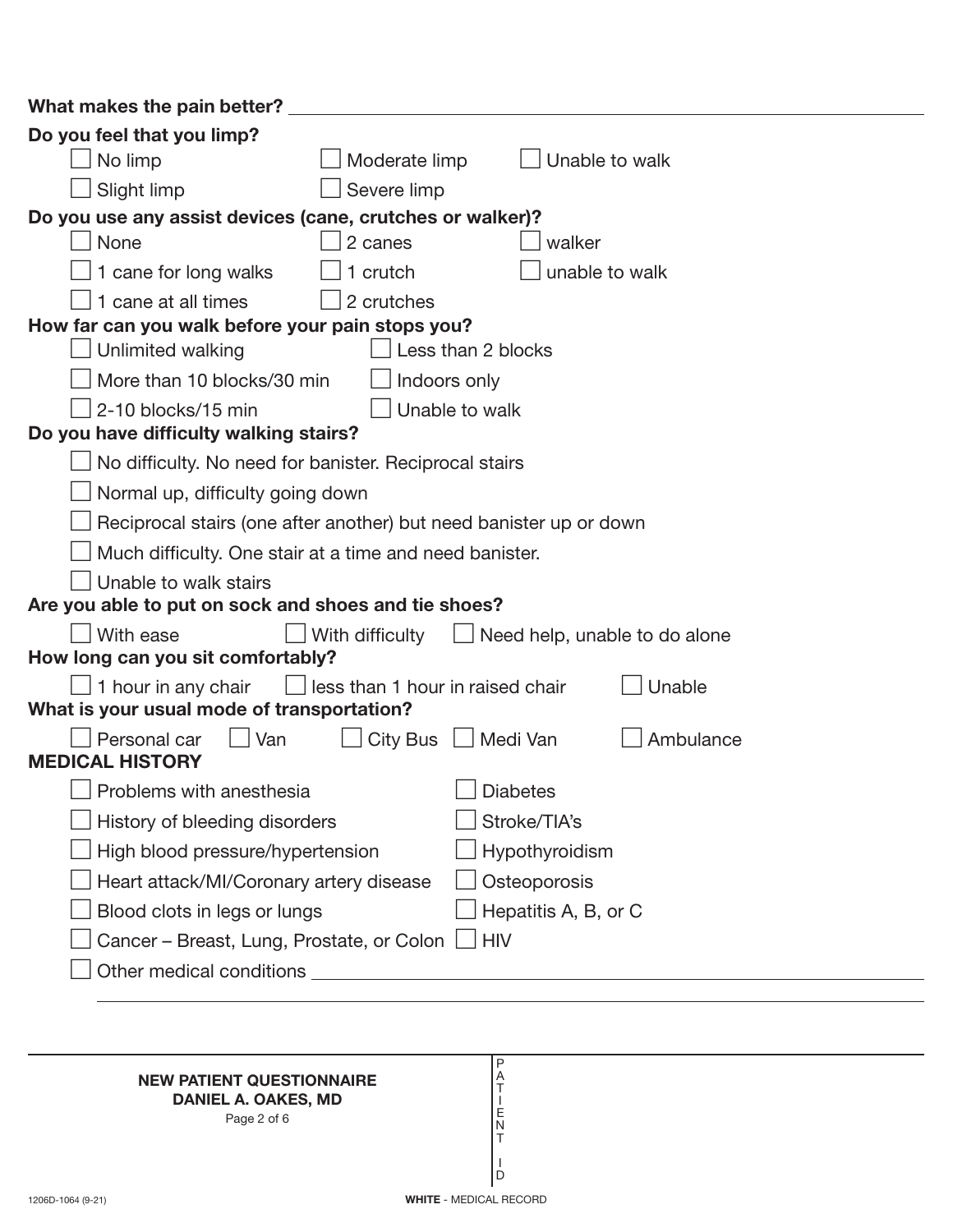| What makes the pain better?                                                                   |  |  |  |  |
|-----------------------------------------------------------------------------------------------|--|--|--|--|
| Do you feel that you limp?                                                                    |  |  |  |  |
| No limp<br>Moderate limp<br>Unable to walk                                                    |  |  |  |  |
| Slight limp<br>Severe limp                                                                    |  |  |  |  |
| Do you use any assist devices (cane, crutches or walker)?                                     |  |  |  |  |
| None<br>2 canes<br>walker                                                                     |  |  |  |  |
| unable to walk<br>1 cane for long walks<br>1 crutch                                           |  |  |  |  |
| 1 cane at all times<br>2 crutches                                                             |  |  |  |  |
| How far can you walk before your pain stops you?                                              |  |  |  |  |
| Unlimited walking<br>Less than 2 blocks                                                       |  |  |  |  |
| More than 10 blocks/30 min<br>Indoors only                                                    |  |  |  |  |
| 2-10 blocks/15 min<br>Unable to walk                                                          |  |  |  |  |
| Do you have difficulty walking stairs?                                                        |  |  |  |  |
| No difficulty. No need for banister. Reciprocal stairs                                        |  |  |  |  |
| Normal up, difficulty going down                                                              |  |  |  |  |
| Reciprocal stairs (one after another) but need banister up or down                            |  |  |  |  |
| Much difficulty. One stair at a time and need banister.                                       |  |  |  |  |
| Unable to walk stairs                                                                         |  |  |  |  |
| Are you able to put on sock and shoes and tie shoes?                                          |  |  |  |  |
| With ease<br>With difficulty<br>$\Box$ Need help, unable to do alone                          |  |  |  |  |
| How long can you sit comfortably?                                                             |  |  |  |  |
| $\Box$ 1 hour in any chair<br>less than 1 hour in raised chair<br>Unable                      |  |  |  |  |
| What is your usual mode of transportation?                                                    |  |  |  |  |
| $\Box$ Van<br>City Bus $\Box$ Medi Van<br>Personal car<br>Ambulance<br><b>MEDICAL HISTORY</b> |  |  |  |  |
| $\Box$ Problems with anesthesia<br><b>J</b> Diabetes                                          |  |  |  |  |
| Stroke/TIA's<br>History of bleeding disorders                                                 |  |  |  |  |
| Hypothyroidism<br>High blood pressure/hypertension                                            |  |  |  |  |
| Heart attack/MI/Coronary artery disease<br>Osteoporosis                                       |  |  |  |  |
| Blood clots in legs or lungs<br>Hepatitis A, B, or C                                          |  |  |  |  |
| Cancer – Breast, Lung, Prostate, or Colon   HIV                                               |  |  |  |  |
|                                                                                               |  |  |  |  |
|                                                                                               |  |  |  |  |

## **NEW PATIENT QUESTIONNAIRE DANIEL A. OAKES, MD**

Page 2 of 6

P A T I E N T I D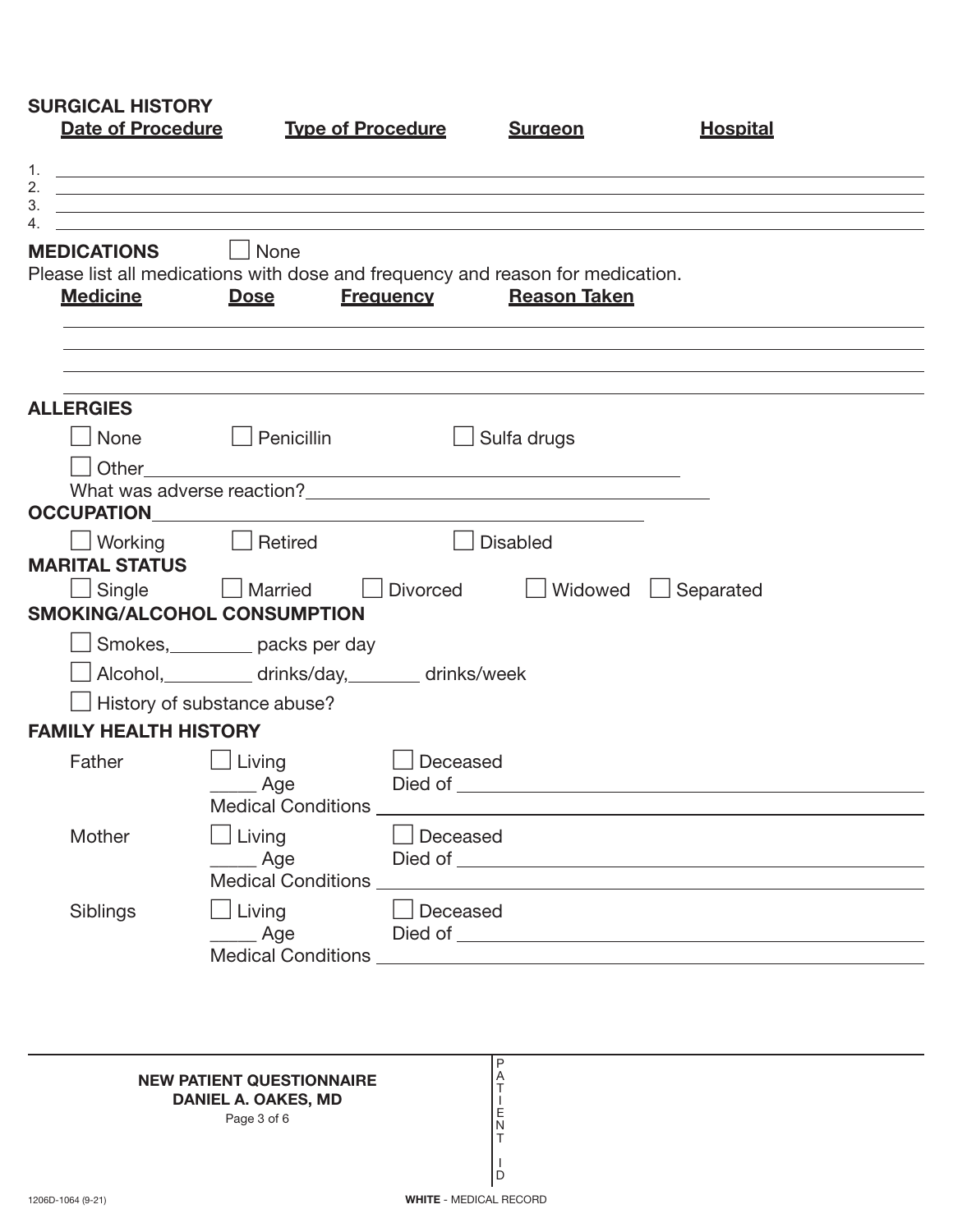| <b>Date of Procedure</b>                               | <b>Type of Procedure</b>                                                                      |                  | <b>Surgeon</b>      | <b>Hospital</b>                 |
|--------------------------------------------------------|-----------------------------------------------------------------------------------------------|------------------|---------------------|---------------------------------|
|                                                        | ,我们也不会有什么。""我们的人,我们也不会有什么?""我们的人,我们也不会有什么?""我们的人,我们的人,我们的人,我们的人,我们的人,我们的人,我们的人,我              |                  |                     |                                 |
| <b>MEDICATIONS</b>                                     | None                                                                                          |                  |                     |                                 |
| <b>Medicine</b>                                        | Please list all medications with dose and frequency and reason for medication.<br><b>Dose</b> | <b>Frequency</b> | <b>Reason Taken</b> |                                 |
| <b>ALLERGIES</b>                                       |                                                                                               |                  |                     |                                 |
| None                                                   | Penicillin                                                                                    |                  | $\Box$ Sulfa drugs  |                                 |
| <b>OCCUPATION</b>                                      |                                                                                               |                  |                     |                                 |
| $\Box$ Working $\Box$ Retired<br><b>MARITAL STATUS</b> |                                                                                               |                  | <b>Disabled</b>     |                                 |
|                                                        | Single <u>Journal</u> Married<br><b>SMOKING/ALCOHOL CONSUMPTION</b>                           | $\Box$ Divorced  |                     | $\Box$ Widowed $\Box$ Separated |
|                                                        | Smokes, packs per day                                                                         |                  |                     |                                 |
|                                                        | Alcohol, _________ drinks/day, ______ drinks/week                                             |                  |                     |                                 |
| $\Box$ History of substance abuse?                     |                                                                                               |                  |                     |                                 |
| <b>FAMILY HEALTH HISTORY</b>                           |                                                                                               |                  |                     |                                 |
| Father                                                 | $\Box$ Living<br>_____ Age                                                                    | Deceased         |                     |                                 |
| Mother                                                 | $\Box$ Living<br>_____ Age                                                                    | Deceased         |                     |                                 |
| Siblings                                               | $\Box$ Living<br>____ Age                                                                     | Deceased         |                     |                                 |

## **NEW PATIENT QUESTIONNAIRE**

**DANIEL A. OAKES, MD**

Page 3 of 6

P A T I E N T I D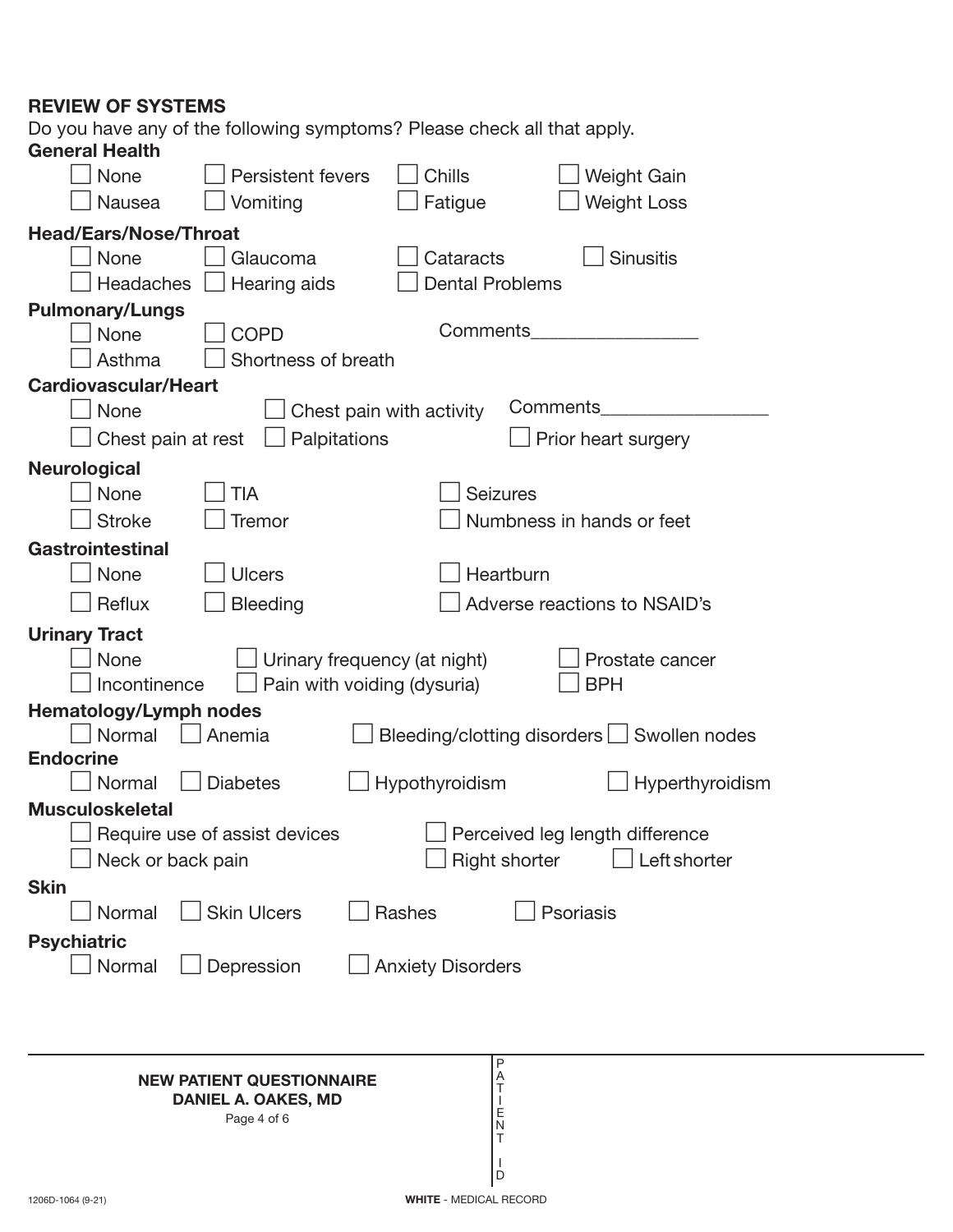## **REVIEW OF SYSTEMS**

Do you have any of the following symptoms? Please check all that apply.

| <b>General Health</b>         |                                           |                          |                                             |
|-------------------------------|-------------------------------------------|--------------------------|---------------------------------------------|
| None                          | <b>Persistent fevers</b>                  | Chills                   | <b>Weight Gain</b>                          |
| <b>Nausea</b>                 | Vomiting                                  | Fatigue                  | <b>Weight Loss</b>                          |
| <b>Head/Ears/Nose/Throat</b>  |                                           |                          |                                             |
| None                          | Glaucoma                                  | Cataracts                | <b>Sinusitis</b>                            |
| <b>Headaches</b>              | Hearing aids                              | <b>Dental Problems</b>   |                                             |
| <b>Pulmonary/Lungs</b>        |                                           |                          |                                             |
| None                          | <b>COPD</b>                               | Comments                 |                                             |
| Asthma                        | Shortness of breath                       |                          |                                             |
| <b>Cardiovascular/Heart</b>   |                                           |                          |                                             |
| None                          |                                           | Chest pain with activity | Comments                                    |
| Chest pain at rest            | Palpitations                              |                          | Prior heart surgery                         |
| <b>Neurological</b>           |                                           |                          |                                             |
| None                          | TIA                                       | <b>Seizures</b>          |                                             |
| <b>Stroke</b>                 | Tremor                                    |                          | Numbness in hands or feet                   |
| Gastrointestinal              |                                           |                          |                                             |
| None                          | <b>Ulcers</b>                             | Heartburn                |                                             |
| Reflux                        | <b>Bleeding</b>                           |                          | Adverse reactions to NSAID's                |
| <b>Urinary Tract</b>          |                                           |                          |                                             |
| None                          | Urinary frequency (at night)              |                          | Prostate cancer                             |
| Incontinence                  | Pain with voiding (dysuria)               |                          | <b>BPH</b>                                  |
| <b>Hematology/Lymph nodes</b> |                                           |                          |                                             |
| Normal<br><b>Endocrine</b>    | Anemia                                    |                          | Bleeding/clotting disorders   Swollen nodes |
| Normal                        | <b>Diabetes</b>                           | Hypothyroidism           | Hyperthyroidism                             |
| <b>Musculoskeletal</b>        |                                           |                          |                                             |
|                               | Require use of assist devices             |                          | Perceived leg length difference             |
| Neck or back pain             |                                           | <b>Right shorter</b>     | Left shorter                                |
| <b>Skin</b>                   |                                           |                          |                                             |
| Normal                        | <b>Skin Ulcers</b>                        | Rashes                   | Psoriasis                                   |
| <b>Psychiatric</b>            |                                           |                          |                                             |
| Normal                        | $\Box$ Depression                         | <b>Anxiety Disorders</b> |                                             |
|                               |                                           |                          |                                             |
|                               |                                           |                          |                                             |
|                               |                                           |                          |                                             |
|                               |                                           |                          |                                             |
|                               | <b>NEW PATIENT QUESTIONNAIRE</b>          | Ρ                        |                                             |
|                               | <b>DANIEL A. OAKES, MD</b><br>Page 4 of 6 | A<br>T<br>E              |                                             |

T I D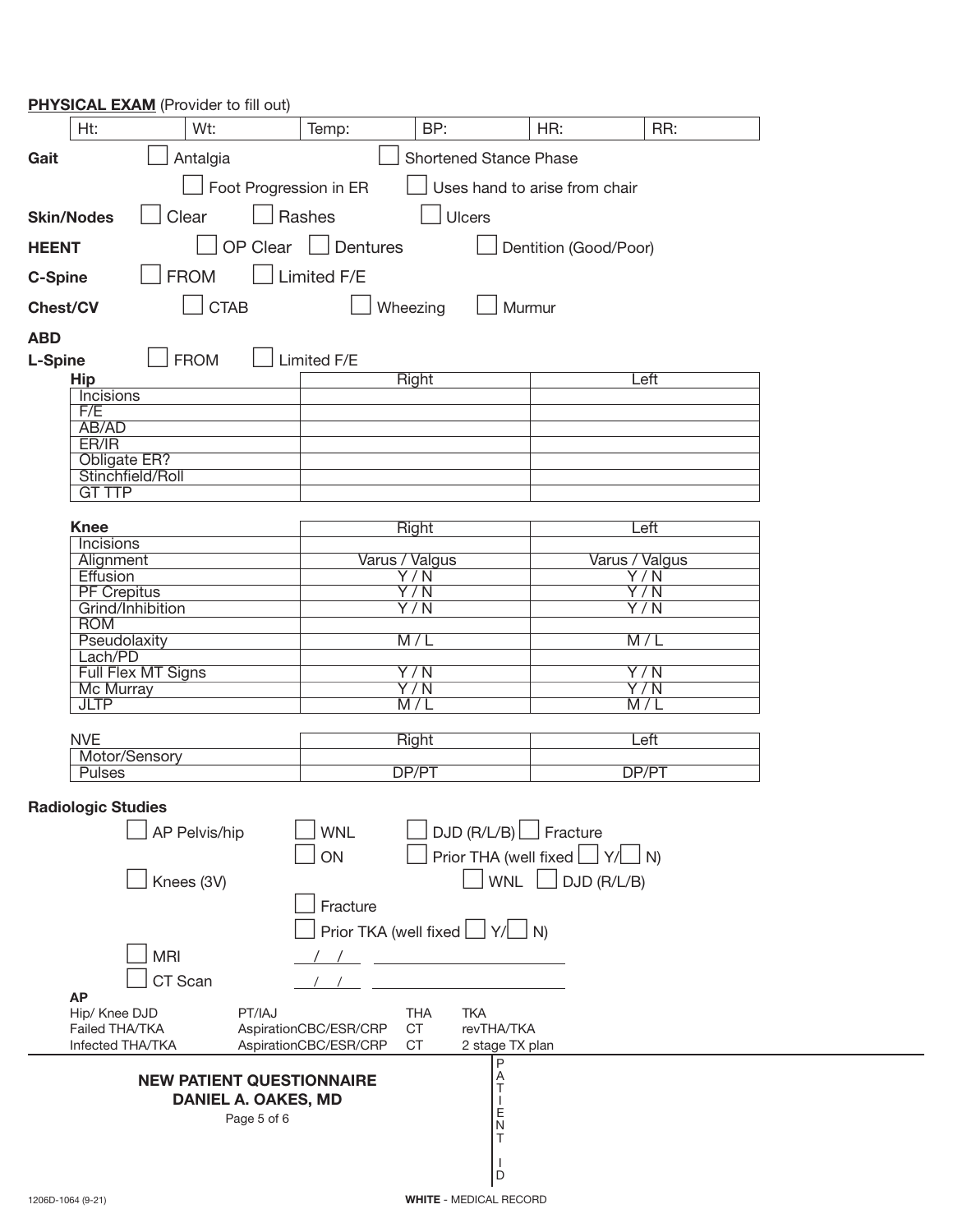| <b>PHYSICAL EXAM</b> (Provider to fill out) |                                                                         |                                         |                                      |  |
|---------------------------------------------|-------------------------------------------------------------------------|-----------------------------------------|--------------------------------------|--|
| Wt:<br>Ht:                                  | BP:<br>Temp:                                                            | HR:                                     | RR:                                  |  |
| Antalgia<br>Gait                            |                                                                         | <b>Shortened Stance Phase</b>           |                                      |  |
| Foot Progression in ER                      |                                                                         | Uses hand to arise from chair           |                                      |  |
| $\Box$ Rashes<br>Clear<br><b>Skin/Nodes</b> |                                                                         | Ulcers                                  |                                      |  |
| <b>HEENT</b>                                | OP Clear   Dentures                                                     | Dentition (Good/Poor)                   |                                      |  |
| <b>FROM</b><br><b>C-Spine</b>               | Limited F/E                                                             |                                         |                                      |  |
| <b>CTAB</b><br><b>Chest/CV</b>              | Wheezing                                                                | Murmur                                  |                                      |  |
| <b>ABD</b>                                  |                                                                         |                                         |                                      |  |
| <b>FROM</b><br><b>L-Spine</b>               | Limited F/E                                                             |                                         |                                      |  |
| <b>Hip</b>                                  | Right                                                                   |                                         | Left                                 |  |
| <b>Incisions</b><br>F/E                     |                                                                         |                                         |                                      |  |
| AB/AD                                       |                                                                         |                                         |                                      |  |
| ER/IR                                       |                                                                         |                                         |                                      |  |
| Obligate ER?<br>Stinchfield/Roll            |                                                                         |                                         |                                      |  |
| <b>GT TTP</b>                               |                                                                         |                                         |                                      |  |
|                                             |                                                                         |                                         |                                      |  |
| <b>Knee</b><br>Incisions                    | Right                                                                   |                                         | Left                                 |  |
| Alignment                                   | Varus / Valgus                                                          |                                         | Varus / Valgus                       |  |
| Effusion                                    | $\overline{Y/N}$                                                        |                                         | $\overline{Y/N}$                     |  |
| <b>PF Crepitus</b><br>Grind/Inhibition      | Y/N<br>$\overline{Y/N}$                                                 |                                         | $\overline{Y/N}$<br>$\overline{Y/N}$ |  |
| <b>ROM</b>                                  |                                                                         |                                         |                                      |  |
| Pseudolaxity                                | M/L                                                                     |                                         | M/L                                  |  |
| Lach/PD<br>Full Flex MT Signs               | $\overline{Y/N}$                                                        |                                         | $\overline{Y/N}$                     |  |
| <b>Mc Murray</b>                            | $\overline{Y/N}$                                                        |                                         | $\overline{Y/N}$                     |  |
| <b>JLTP</b>                                 | M/L                                                                     |                                         | M/L                                  |  |
|                                             |                                                                         |                                         |                                      |  |
| <b>NVE</b><br>Motor/Sensory                 | Right                                                                   |                                         | Left                                 |  |
| <b>Pulses</b>                               | DP/PT                                                                   |                                         | DP/PT                                |  |
| <b>Radiologic Studies</b>                   |                                                                         |                                         |                                      |  |
| AP Pelvis/hip                               | <b>WNL</b>                                                              | $DJD (R/L/B)$ Fracture                  |                                      |  |
|                                             | ON                                                                      | Prior THA (well fixed $\Box Y/\Box N$ ) |                                      |  |
|                                             |                                                                         |                                         |                                      |  |
| Knees (3V)                                  |                                                                         | WNL                                     | DJD (R/L/B)                          |  |
|                                             | Fracture                                                                |                                         |                                      |  |
|                                             | Prior TKA (well fixed $\boxed{\phantom{0}}$ Y/ $\boxed{\phantom{0}}$ N) |                                         |                                      |  |
| <b>MRI</b>                                  |                                                                         |                                         |                                      |  |
| CT Scan                                     |                                                                         |                                         |                                      |  |
| <b>AP</b>                                   |                                                                         |                                         |                                      |  |
| PT/IAJ<br>Hip/ Knee DJD                     | <b>THA</b>                                                              | <b>TKA</b>                              |                                      |  |
| Failed THA/TKA<br>Infected THA/TKA          | AspirationCBC/ESR/CRP<br><b>CT</b><br>AspirationCBC/ESR/CRP<br>CT       | revTHA/TKA<br>2 stage TX plan           |                                      |  |
|                                             |                                                                         | P                                       |                                      |  |
| <b>NEW PATIENT QUESTIONNAIRE</b>            |                                                                         | $\frac{A}{T}$                           |                                      |  |
| <b>DANIEL A. OAKES, MD</b>                  |                                                                         | Ε                                       |                                      |  |
| Page 5 of 6<br>N<br>т                       |                                                                         |                                         |                                      |  |
|                                             |                                                                         |                                         |                                      |  |
|                                             |                                                                         |                                         |                                      |  |